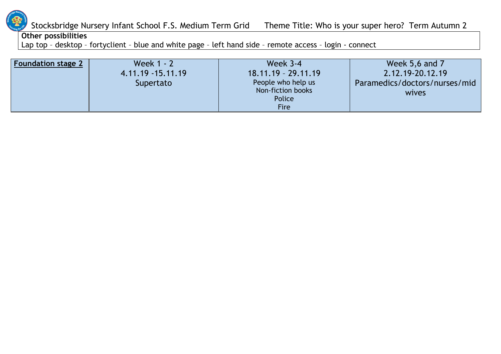

#### **Other possibilities**

Lap top – desktop – fortyclient – blue and white page – left hand side – remote access – login - connect

| <b>Foundation stage 2</b> | Week 1 - 2        | <b>Week 3-4</b>                                                  | Week 5,6 and 7                         |
|---------------------------|-------------------|------------------------------------------------------------------|----------------------------------------|
|                           | 4.11.19 -15.11.19 | $18.11.19 - 29.11.19$                                            | 2.12.19-20.12.19                       |
|                           | Supertato         | People who help us<br>Non-fiction books<br>Police<br><b>Fire</b> | Paramedics/doctors/nurses/mid<br>wives |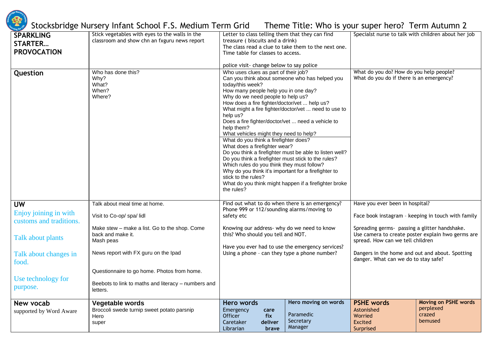

| <b>SPARKLING</b><br><b>STARTER</b><br><b>PROVOCATION</b> | Stick vegetables with eyes to the walls in the<br>classroom and show chn an fxguru news report | Letter to class telling them that they can find<br>treasure (biscuits and a drink)<br>The class read a clue to take them to the next one.<br>Time table for classes to access.                                                                                                                                                                                                                                                                                                                                                                                                                                                                                                                                                                                                                                           |                                                           | Specialst nurse to talk with children about her job                                                                                    |                                                               |
|----------------------------------------------------------|------------------------------------------------------------------------------------------------|--------------------------------------------------------------------------------------------------------------------------------------------------------------------------------------------------------------------------------------------------------------------------------------------------------------------------------------------------------------------------------------------------------------------------------------------------------------------------------------------------------------------------------------------------------------------------------------------------------------------------------------------------------------------------------------------------------------------------------------------------------------------------------------------------------------------------|-----------------------------------------------------------|----------------------------------------------------------------------------------------------------------------------------------------|---------------------------------------------------------------|
|                                                          |                                                                                                | police visit- change below to say police                                                                                                                                                                                                                                                                                                                                                                                                                                                                                                                                                                                                                                                                                                                                                                                 |                                                           |                                                                                                                                        |                                                               |
| Question                                                 | Who has done this?<br>Why?<br>What?<br>When?<br>Where?                                         | Who uses clues as part of their job?<br>Can you think about someone who has helped you<br>today/this week?<br>How many people help you in one day?<br>Why do we need people to help us?<br>How does a fire fighter/doctor/vet  help us?<br>What might a fire fighter/doctor/vet  need to use to<br>help us?<br>Does a fire fighter/doctor/vet  need a vehicle to<br>help them?<br>What vehicles might they need to help?<br>What do you think a firefighter does?<br>What does a firefighter wear?<br>Do you think a firefighter must be able to listen well?<br>Do you think a firefighter must stick to the rules?<br>Which rules do you think they must follow?<br>Why do you think it's important for a firefighter to<br>stick to the rules?<br>What do you think might happen if a firefighter broke<br>the rules? |                                                           | What do you do? How do you help people?<br>What do you do if there is an emergency?                                                    |                                                               |
| <b>UW</b>                                                | Talk about meal time at home.                                                                  | Find out what to do when there is an emergency?<br>Phone 999 or 112/sounding alarms/moving to                                                                                                                                                                                                                                                                                                                                                                                                                                                                                                                                                                                                                                                                                                                            |                                                           | Have you ever been in hospital?                                                                                                        |                                                               |
| Enjoy joining in with<br>customs and traditions.         | Visit to Co-op/ spa/lidl                                                                       | safety etc                                                                                                                                                                                                                                                                                                                                                                                                                                                                                                                                                                                                                                                                                                                                                                                                               |                                                           | Face book instagram - keeping in touch with family                                                                                     |                                                               |
| Talk about plants                                        | Make stew - make a list. Go to the shop. Come<br>back and make it.<br>Mash peas                | Knowing our address- why do we need to know<br>this? Who should you tell and NOT.                                                                                                                                                                                                                                                                                                                                                                                                                                                                                                                                                                                                                                                                                                                                        |                                                           | Spreading germs- passing a glitter handshake.<br>Use camera to create poster explain hwo germs are<br>spread. How can we tell children |                                                               |
| Talk about changes in<br>food.                           | News report with FX guru on the Ipad                                                           | Have you ever had to use the emergency services?<br>Using a phone - can they type a phone number?                                                                                                                                                                                                                                                                                                                                                                                                                                                                                                                                                                                                                                                                                                                        |                                                           | Dangers in the home and out and about. Spotting<br>danger. What can we do to stay safe?                                                |                                                               |
|                                                          | Questionnaire to go home. Photos from home.                                                    |                                                                                                                                                                                                                                                                                                                                                                                                                                                                                                                                                                                                                                                                                                                                                                                                                          |                                                           |                                                                                                                                        |                                                               |
| Use technology for<br>purpose.                           | Beebots to link to maths and literacy - numbers and<br>letters.                                |                                                                                                                                                                                                                                                                                                                                                                                                                                                                                                                                                                                                                                                                                                                                                                                                                          |                                                           |                                                                                                                                        |                                                               |
| New vocab<br>supported by Word Aware                     | Vegetable words<br>Broccoli swede turnip sweet potato parsnip<br>Hero<br>super                 | Hero words<br>Emergency<br>care<br><b>Officer</b><br>fix<br>Caretaker<br>deliver<br>Librarian<br>brave                                                                                                                                                                                                                                                                                                                                                                                                                                                                                                                                                                                                                                                                                                                   | Hero moving on words<br>Paramedic<br>Secretary<br>Manager | <b>PSHE words</b><br>Astonished<br>Worried<br>Excited<br>Surprised                                                                     | <b>Moving on PSHE words</b><br>perplexed<br>crazed<br>bemused |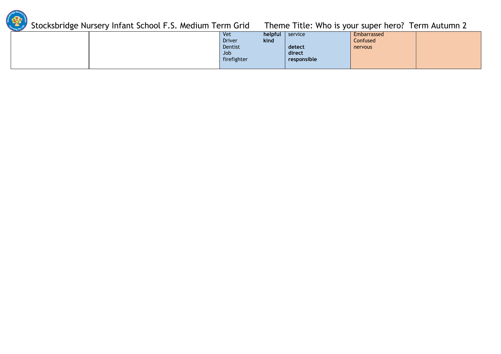

|  | <b>Vet</b>    | helpful | service     | Embarrassed |  |
|--|---------------|---------|-------------|-------------|--|
|  | <b>Driver</b> | kind    |             | Confused    |  |
|  | Dentist       |         | detect      | nervous     |  |
|  | Job           |         | direct      |             |  |
|  | firefighter   |         | responsible |             |  |
|  |               |         |             |             |  |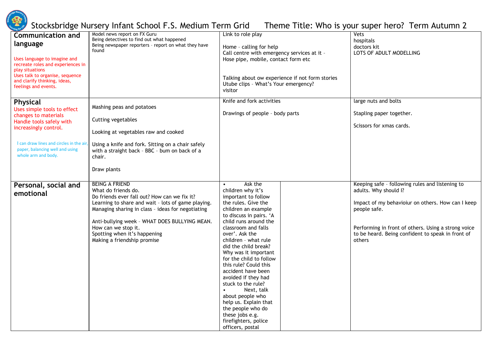

| <b>Communication and</b><br>language<br>Uses language to imagine and<br>recreate roles and experiences in<br>play situations<br>Uses talk to organise, sequence<br>and clarify thinking, ideas,<br>feelings and events.         | Model news report on FX Guru<br>Being detectives to find out what happened<br>Being newspaper reporters - report on what they have<br>found                                                                                                                                                                                                    | Link to role play<br>Home - calling for help<br>Call centre with emergency services at it -<br>Hose pipe, mobile, contact form etc<br>Talking about ow experience if not form stories<br>Utube clips - What's Your emergency?<br>visitor                                                                                                                                                                                                                                                                                                     | Vets<br>hospitals<br>doctors kit<br>LOTS OF ADULT MODELLING                                                                                                                                                                                                         |
|---------------------------------------------------------------------------------------------------------------------------------------------------------------------------------------------------------------------------------|------------------------------------------------------------------------------------------------------------------------------------------------------------------------------------------------------------------------------------------------------------------------------------------------------------------------------------------------|----------------------------------------------------------------------------------------------------------------------------------------------------------------------------------------------------------------------------------------------------------------------------------------------------------------------------------------------------------------------------------------------------------------------------------------------------------------------------------------------------------------------------------------------|---------------------------------------------------------------------------------------------------------------------------------------------------------------------------------------------------------------------------------------------------------------------|
| <b>Physical</b><br>Uses simple tools to effect<br>changes to materials<br>Handle tools safely with<br>increasingly control.<br>I can draw lines and circles in the ai<br>paper, balancing well and using<br>whole arm and body. | Mashing peas and potatoes<br>Cutting vegetables<br>Looking at vegetables raw and cooked<br>Using a knife and fork. Sitting on a chair safely<br>with a straight back - BBC - bum on back of a<br>chair.<br>Draw plants                                                                                                                         | Knife and fork activities<br>Drawings of people - body parts                                                                                                                                                                                                                                                                                                                                                                                                                                                                                 | large nuts and bolts<br>Stapling paper together.<br>Scissors for xmas cards.                                                                                                                                                                                        |
| Personal, social and<br>emotional                                                                                                                                                                                               | <b>BEING A FRIEND</b><br>What do friends do.<br>Do friends ever fall out? How can we fix it?<br>Learning to share and wait - lots of game playing.<br>Managing sharing in class - ideas for negotiating<br>Anti-bullying week - WHAT DOES BULLYING MEAN.<br>How can we stop it.<br>Spotting when it's happening<br>Making a friendship promise | Ask the<br>children why it's<br>important to follow<br>the rules. Give the<br>children an example<br>to discuss in pairs. 'A<br>child runs around the<br>classroom and falls<br>over'. Ask the<br>children - what rule<br>did the child break?<br>Why was it important<br>for the child to follow<br>this rule? Could this<br>accident have been<br>avoided if they had<br>stuck to the rule?<br>Next, talk<br>about people who<br>help us. Explain that<br>the people who do<br>these jobs e.g.<br>firefighters, police<br>officers, postal | Keeping safe - following rules and listening to<br>adults. Why should I?<br>Impact of my behavioiur on others. How can I keep<br>people safe.<br>Performing in front of others. Using a strong voice<br>to be heard. Being confident to speak in front of<br>others |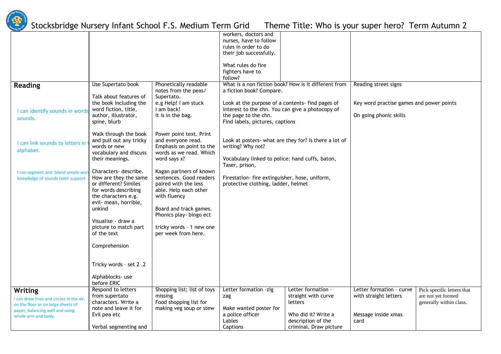

|                                        |                                       |                             | workers, doctors and                                  |                        |                                          |                            |
|----------------------------------------|---------------------------------------|-----------------------------|-------------------------------------------------------|------------------------|------------------------------------------|----------------------------|
|                                        |                                       |                             | nurses, have to follow                                |                        |                                          |                            |
|                                        |                                       |                             | rules in order to do                                  |                        |                                          |                            |
|                                        |                                       |                             | their job successfully.                               |                        |                                          |                            |
|                                        |                                       |                             |                                                       |                        |                                          |                            |
|                                        |                                       |                             | What rules do fire                                    |                        |                                          |                            |
|                                        |                                       |                             | fighters have to                                      |                        |                                          |                            |
|                                        |                                       |                             | follow?                                               |                        |                                          |                            |
| <b>Reading</b>                         | Use Supertato book                    | Phonetically readable       | What is a non fiction book? How is it different from  |                        | Reading street signs                     |                            |
|                                        |                                       | notes from the peas/        | a fiction book? Compare.                              |                        |                                          |                            |
|                                        | Talk about features of                | Supertato.                  |                                                       |                        |                                          |                            |
|                                        | the book including the                | e.g Help! I am stuck        | Look at the purpose of a contents- find pages of      |                        | Key word practise games and power points |                            |
| I can identify sounds in word          | word fiction, title,                  | I am back!                  | interest to the chn. You can give a photocopy of      |                        |                                          |                            |
| sounds.                                | author, illustrator,                  | It is in the bag.           | the page to the chn.                                  |                        | On going phonic skills                   |                            |
|                                        | spine, blurb                          |                             | Find labels, pictures, captions                       |                        |                                          |                            |
|                                        |                                       |                             |                                                       |                        |                                          |                            |
|                                        | Walk through the book                 | Power point text. Print     |                                                       |                        |                                          |                            |
| I can link sounds to letters in        | and pull out any tricky               | and everyone read.          | Look at posters- what are they for? Is there a lot of |                        |                                          |                            |
|                                        | words or new                          | Emphasis on point to the    | writing? Why not?                                     |                        |                                          |                            |
| alphabet.                              | vocabulary and discuss                | words as we read. Which     |                                                       |                        |                                          |                            |
|                                        | their meanings.                       | word says x?                | Vocabulary linked to police: hand cuffs, baton,       |                        |                                          |                            |
|                                        |                                       |                             | Taser, prison,                                        |                        |                                          |                            |
| I can segment and blend simple wo      | Characters- describe.                 | Kagan partners of known     |                                                       |                        |                                          |                            |
| knowledge of sounds (with support      | How are they the same                 | sentences. Good readers     | Firestation- fire extinguisher, hose, uniform,        |                        |                                          |                            |
|                                        | or different? Similes                 | paired with the less        | protective clothing, ladder, helmet                   |                        |                                          |                            |
|                                        | for words describing                  | able. Help each other       |                                                       |                        |                                          |                            |
|                                        | the characters e.g.                   | with fluency                |                                                       |                        |                                          |                            |
|                                        | evil- mean, horrible,                 |                             |                                                       |                        |                                          |                            |
|                                        | unkind                                | Board and track games.      |                                                       |                        |                                          |                            |
|                                        |                                       | Phonics play- bingo ect     |                                                       |                        |                                          |                            |
|                                        | Visualise - draw a                    |                             |                                                       |                        |                                          |                            |
|                                        | picture to match part                 | tricky words - 1 new one    |                                                       |                        |                                          |                            |
|                                        | of the text                           | per week from here.         |                                                       |                        |                                          |                            |
|                                        |                                       |                             |                                                       |                        |                                          |                            |
|                                        | Comprehension                         |                             |                                                       |                        |                                          |                            |
|                                        |                                       |                             |                                                       |                        |                                          |                            |
|                                        |                                       |                             |                                                       |                        |                                          |                            |
|                                        | Tricky words - set 2.2                |                             |                                                       |                        |                                          |                            |
|                                        |                                       |                             |                                                       |                        |                                          |                            |
|                                        | Alphablocks- use                      |                             |                                                       |                        |                                          |                            |
|                                        | before ERIC                           |                             |                                                       |                        |                                          |                            |
| Writing                                | Respond to letters                    | Shopping list; list of toys | Letter formation -zig                                 | Letter formation -     | Letter formation - curve                 | Pick specific letters that |
| can draw lines and circles in the air, | from supertato<br>characters. Write a | missing                     | zag                                                   | straight with curve    | with straight letters                    | are not yet formed         |
| on the floor or on large sheets of     |                                       | Food shopping list for      |                                                       | letters                |                                          | generally within class.    |
| paper, balancing well and using        | note and leave it for                 | making veg soup or stew     | Make wanted poster for                                |                        |                                          |                            |
| whole arm and body.                    | Evil pea etc                          |                             | a police officer                                      | Who did it? Write a    | Message inside xmas                      |                            |
|                                        |                                       |                             | Lables                                                | description of the     | card                                     |                            |
|                                        | Verbal segmenting and                 |                             | Captions                                              | criminal. Draw picture |                                          |                            |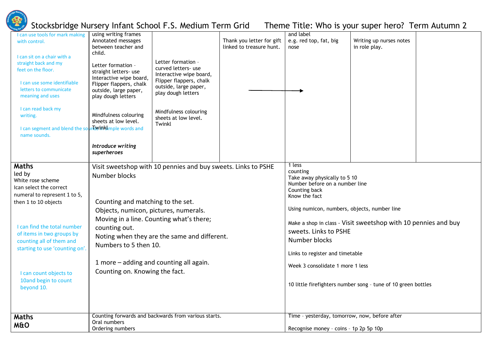

I can use tools for mark making using writing frames

# Stocksbridge Nursery Infant School F.S. Medium Term Grid Theme Title: Who is your super hero? Term Autumn 2

and label

| with control.<br>I can sit on a chair with a<br>straight back and my<br>feet on the floor.<br>I can use some identifiable<br>letters to communicate<br>meaning and uses<br>I can read back my<br>writing.<br>I can segment and blend the sou<br>name sounds.                                                             | Annotated messages<br>between teacher and<br>child.<br>Letter formation -<br>straight letters- use<br>Interactive wipe board,<br>Flipper flappers, chalk<br>outside, large paper,<br>play dough letters<br>Mindfulness colouring<br>sheets at low level.<br><b>nlovinklimple words and</b><br>Introduce writing<br>superheroes                                                  | Letter formation -<br>curved letters- use<br>Interactive wipe board,<br>Flipper flappers, chalk<br>outside, large paper,<br>play dough letters<br>Mindfulness colouring<br>sheets at low level.<br>Twinkl | Thank you letter for gift<br>linked to treasure hunt. | e.g. red top, fat, big<br>nose                                                                                                                                                                                                                                                                                                                                                                                             | Writing up nurses notes<br>in role play. |  |
|--------------------------------------------------------------------------------------------------------------------------------------------------------------------------------------------------------------------------------------------------------------------------------------------------------------------------|---------------------------------------------------------------------------------------------------------------------------------------------------------------------------------------------------------------------------------------------------------------------------------------------------------------------------------------------------------------------------------|-----------------------------------------------------------------------------------------------------------------------------------------------------------------------------------------------------------|-------------------------------------------------------|----------------------------------------------------------------------------------------------------------------------------------------------------------------------------------------------------------------------------------------------------------------------------------------------------------------------------------------------------------------------------------------------------------------------------|------------------------------------------|--|
| <b>Maths</b><br>led by<br>White rose scheme<br>Ican select the correct<br>numeral to represent 1 to 5,<br>then 1 to 10 objects<br>I can find the total number<br>of items in two groups by<br>counting all of them and<br>starting to use 'counting on'.<br>I can count objects to<br>10and begin to count<br>beyond 10. | Visit sweetshop with 10 pennies and buy sweets. Links to PSHE<br>Number blocks<br>Counting and matching to the set.<br>Objects, numicon, pictures, numerals.<br>Moving in a line. Counting what's there;<br>counting out.<br>Noting when they are the same and different.<br>Numbers to 5 then 10.<br>1 more - adding and counting all again.<br>Counting on. Knowing the fact. |                                                                                                                                                                                                           |                                                       | 1 less<br>counting<br>Take away physically to 5 10<br>Number before on a number line<br>Counting back<br>Know the fact<br>Using numicon, numbers, objects, number line<br>Make a shop in class - Visit sweetshop with 10 pennies and buy<br>sweets. Links to PSHE<br>Number blocks<br>Links to register and timetable<br>Week 3 consolidate 1 more 1 less<br>10 little firefighters number song - tune of 10 green bottles |                                          |  |
| <b>Maths</b><br><b>M&amp;O</b>                                                                                                                                                                                                                                                                                           | Oral numbers<br>Ordering numbers                                                                                                                                                                                                                                                                                                                                                | Counting forwards and backwards from various starts.                                                                                                                                                      |                                                       | Time - yesterday, tomorrow, now, before after<br>Recognise money - coins - 1p 2p 5p 10p                                                                                                                                                                                                                                                                                                                                    |                                          |  |
|                                                                                                                                                                                                                                                                                                                          |                                                                                                                                                                                                                                                                                                                                                                                 |                                                                                                                                                                                                           |                                                       |                                                                                                                                                                                                                                                                                                                                                                                                                            |                                          |  |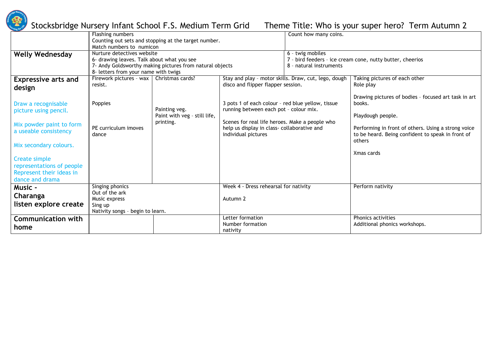

|                            | Flashing numbers                           |                                                          |                                                   | Count how many coins.                                |                                                           |
|----------------------------|--------------------------------------------|----------------------------------------------------------|---------------------------------------------------|------------------------------------------------------|-----------------------------------------------------------|
|                            |                                            | Counting out sets and stopping at the target number.     |                                                   |                                                      |                                                           |
|                            | Match numbers to numicon                   |                                                          |                                                   |                                                      |                                                           |
| <b>Welly Wednesday</b>     | Nurture detectives website                 |                                                          |                                                   | 6 - twig mobiles                                     |                                                           |
|                            | 6- drawing leaves. Talk about what you see |                                                          |                                                   |                                                      | 7 - bird feeders - ice cream cone, nutty butter, cheerios |
|                            |                                            | 7- Andy Goldsworthy making pictures from natural objects |                                                   | 8 - natural instruments                              |                                                           |
|                            | 8- letters from your name with twigs       |                                                          |                                                   |                                                      |                                                           |
| <b>Expressive arts and</b> | Firework pictures - wax                    | Christmas cards?                                         |                                                   | Stay and play - motor skills. Draw, cut, lego, dough | Taking pictures of each other                             |
|                            | resist.                                    |                                                          | disco and flipper flapper session.                |                                                      | Role play                                                 |
| design                     |                                            |                                                          |                                                   |                                                      |                                                           |
|                            |                                            |                                                          |                                                   |                                                      | Drawing pictures of bodies - focused art task in art      |
| Draw a recognisable        | Poppies                                    |                                                          | 3 pots 1 of each colour - red blue yellow, tissue |                                                      | books.                                                    |
| picture using pencil.      |                                            | Painting veg.                                            | running between each pot - colour mix.            |                                                      |                                                           |
|                            |                                            | Paint with veg - still life,                             |                                                   |                                                      | Playdough people.                                         |
| Mix powder paint to form   |                                            | printing.                                                | Scenes for real life heroes. Make a people who    |                                                      |                                                           |
| a useable consistency      | PE curriculum imoves                       |                                                          | help us display in class- collaborative and       |                                                      | Performing in front of others. Using a strong voice       |
|                            | dance                                      |                                                          | individual pictures                               |                                                      | to be heard. Being confident to speak in front of         |
|                            |                                            |                                                          |                                                   |                                                      | others                                                    |
| Mix secondary colours.     |                                            |                                                          |                                                   |                                                      |                                                           |
|                            |                                            |                                                          |                                                   |                                                      | Xmas cards                                                |
| Create simple              |                                            |                                                          |                                                   |                                                      |                                                           |
| representations of people  |                                            |                                                          |                                                   |                                                      |                                                           |
| Represent their ideas in   |                                            |                                                          |                                                   |                                                      |                                                           |
| dance and drama            |                                            |                                                          |                                                   |                                                      |                                                           |
| <b>Music -</b>             | Singing phonics                            |                                                          | Week 4 - Dress rehearsal for nativity             |                                                      | Perform nativity                                          |
|                            | Out of the ark                             |                                                          |                                                   |                                                      |                                                           |
| Charanga                   | Music express                              |                                                          | Autumn 2                                          |                                                      |                                                           |
| listen explore create      | Sing up                                    |                                                          |                                                   |                                                      |                                                           |
|                            | Nativity songs - begin to learn.           |                                                          |                                                   |                                                      |                                                           |
| <b>Communication with</b>  |                                            |                                                          | Letter formation                                  |                                                      | Phonics activities                                        |
|                            |                                            |                                                          | Number formation                                  |                                                      | Additional phonics workshops.                             |
| home                       |                                            |                                                          | nativity                                          |                                                      |                                                           |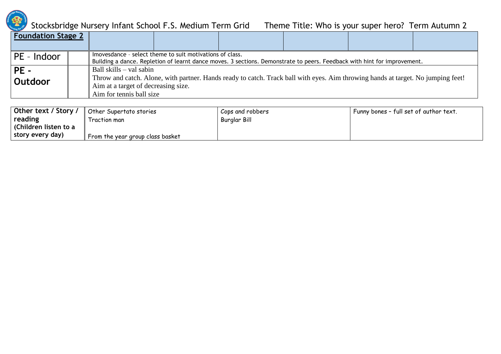

| <b>Foundation Stage 2</b> |                                                                                                                                                                                      |  |  |  |  |  |
|---------------------------|--------------------------------------------------------------------------------------------------------------------------------------------------------------------------------------|--|--|--|--|--|
| PE - Indoor               | Imovesdance - select theme to suit motivations of class.<br>Building a dance. Repletion of learnt dance moves. 3 sections. Demonstrate to peers. Feedback with hint for improvement. |  |  |  |  |  |
|                           |                                                                                                                                                                                      |  |  |  |  |  |
| $PE -$                    | Ball skills – val sabin                                                                                                                                                              |  |  |  |  |  |
| Outdoor                   | Throw and catch. Alone, with partner. Hands ready to catch. Track ball with eyes. Aim throwing hands at target. No jumping feet!                                                     |  |  |  |  |  |
|                           | Aim at a target of decreasing size.                                                                                                                                                  |  |  |  |  |  |
|                           | Aim for tennis ball size                                                                                                                                                             |  |  |  |  |  |

| Other text / Story /  | $\parallel$ Other Supertato stories | Cops and robbers | Funny bones - full set of author text. |
|-----------------------|-------------------------------------|------------------|----------------------------------------|
| reading               | Traction man                        | Burglar Bill     |                                        |
| (Children listen to a |                                     |                  |                                        |
| story every day)      | From the year group class basket    |                  |                                        |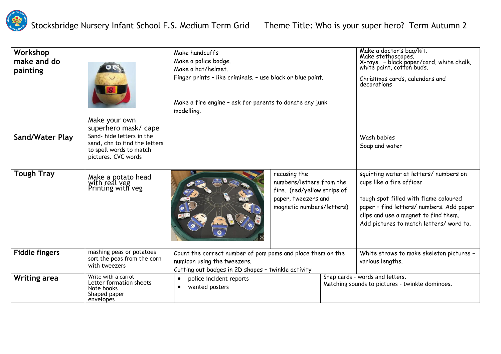

| Workshop<br>make and do<br>painting | Make your own<br>superhero mask/ cape                                                                       | Make handcuffs<br>Make a police badge.<br>Make a hat/helmet.<br>Finger prints - like criminals. - use black or blue paint.<br>Make a fire engine - ask for parents to donate any junk<br>modelling. |                                                                                                                             |                                                                                    | Make a doctor's bag/kit.<br>Make stethoscopes.<br>X-rays. - black paper/card, white chalk,<br>white paint, cotton buds.<br>Christmas cards, calendars and<br>decorations                                                                   |
|-------------------------------------|-------------------------------------------------------------------------------------------------------------|-----------------------------------------------------------------------------------------------------------------------------------------------------------------------------------------------------|-----------------------------------------------------------------------------------------------------------------------------|------------------------------------------------------------------------------------|--------------------------------------------------------------------------------------------------------------------------------------------------------------------------------------------------------------------------------------------|
| <b>Sand/Water Play</b>              | Sand-hide letters in the<br>sand, chn to find the letters<br>to spell words to match<br>pictures. CVC words |                                                                                                                                                                                                     |                                                                                                                             |                                                                                    | Wash babies<br>Soap and water                                                                                                                                                                                                              |
| <b>Tough Tray</b>                   | Make a potato head<br>with real yeg<br>Printing with yeg                                                    | $\boldsymbol{Q}$                                                                                                                                                                                    | recusing the<br>numbers/letters from the<br>fire. (red/yellow strips of<br>paper, tweezers and<br>magnetic numbers/letters) |                                                                                    | squirting water at letters/ numbers on<br>cups like a fire officer<br>tough spot filled with flame coloured<br>paper - find letters/ numbers. Add paper<br>clips and use a magnet to find them.<br>Add pictures to match letters/ word to. |
| <b>Fiddle fingers</b>               | mashing peas or potatoes<br>sort the peas from the corn<br>with tweezers                                    | Count the correct number of pom poms and place them on the<br>numicon using the tweezers.<br>Cutting out badges in 2D shapes - twinkle activity                                                     |                                                                                                                             |                                                                                    | White straws to make skeleton pictures -<br>various lengths.                                                                                                                                                                               |
| <b>Writing area</b>                 | Write with a carrot<br>Letter formation sheets<br>Note books<br>Shaped paper<br>envelopes                   | police incident reports<br>$\bullet$<br>wanted posters<br>$\bullet$                                                                                                                                 |                                                                                                                             | Snap cards - words and letters.<br>Matching sounds to pictures - twinkle dominoes. |                                                                                                                                                                                                                                            |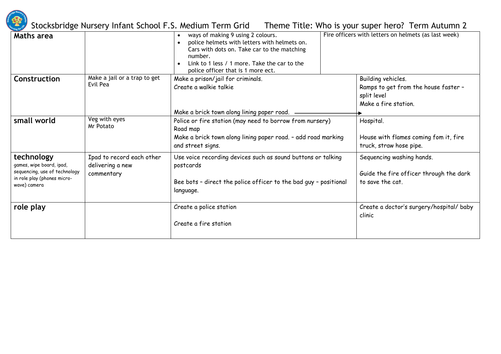

| Maths area                                                                                                             |                                                             | ways of making 9 using 2 colours.<br>police helmets with letters with helmets on.<br>Cars with dots on. Take car to the matching<br>number.<br>Link to 1 less / 1 more. Take the car to the<br>police officer that is 1 more ect. | Fire officers with letters on helmets (as last week)                                              |
|------------------------------------------------------------------------------------------------------------------------|-------------------------------------------------------------|-----------------------------------------------------------------------------------------------------------------------------------------------------------------------------------------------------------------------------------|---------------------------------------------------------------------------------------------------|
| Construction                                                                                                           | Make a jail or a trap to get<br>Evil Pea                    | Make a prison/jail for criminals.<br>Create a walkie talkie<br>Make a brick town along lining paper road. -                                                                                                                       | Building vehicles.<br>Ramps to get from the house faster -<br>split level<br>Make a fire station. |
| small world                                                                                                            | Veg with eyes<br>Mr Potato                                  | Police or fire station (may need to borrow from nursery)<br>Road map<br>Make a brick town along lining paper road. - add road marking<br>and street signs.                                                                        | Hospital.<br>House with flames coming fom it, fire<br>truck, straw hose pipe.                     |
| technology<br>games, wipe board, ipad,<br>sequencing, use of technology<br>in role play (phones micro-<br>wave) camera | Ipad to record each other<br>delivering a new<br>commentary | Use voice recording devices such as sound buttons or talking<br>postcards<br>Bee bots - direct the police officer to the bad guy - positional<br>language.                                                                        | Sequencing washing hands.<br>Guide the fire officer through the dark<br>to save the cat.          |
| role play                                                                                                              |                                                             | Create a police station<br>Create a fire station                                                                                                                                                                                  | Create a doctor's surgery/hospital/ baby<br>clinic                                                |